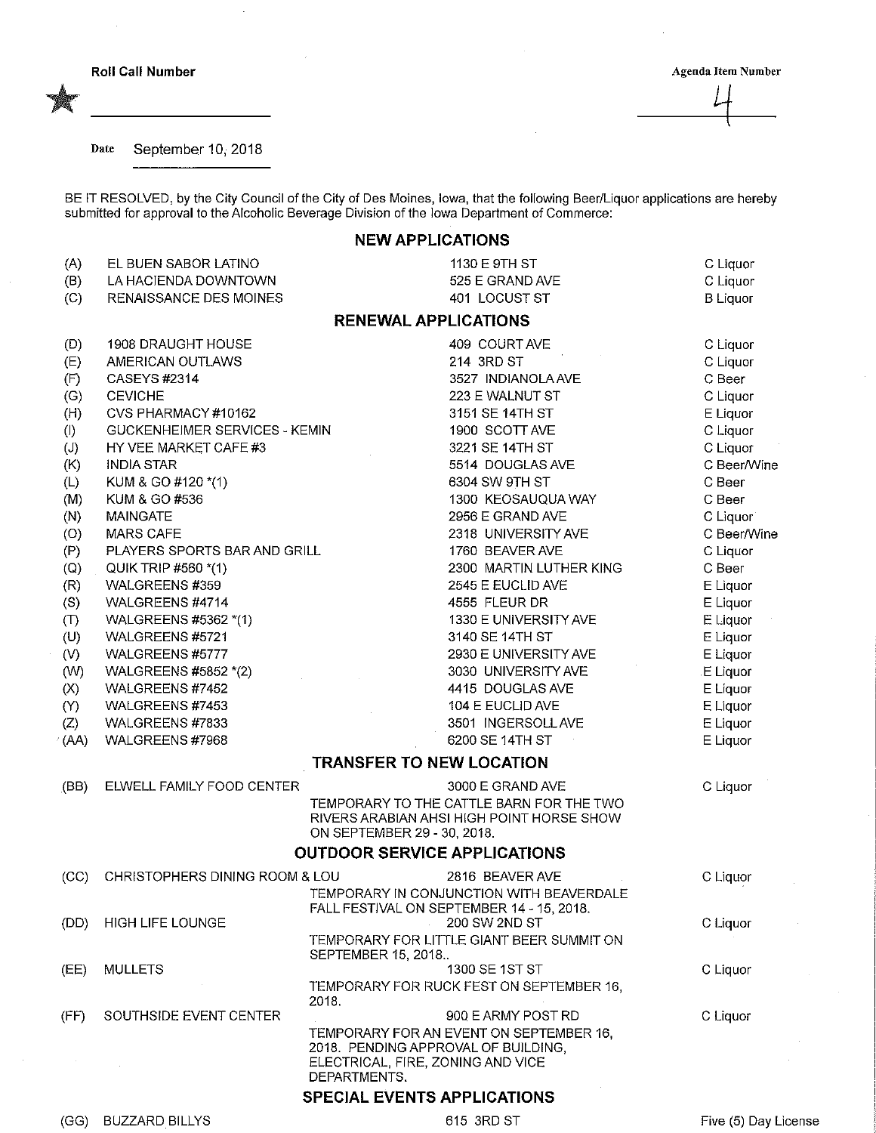$\sim$ 

## Roll Call Number Agenda Item Number

## Date September 10, 2018

BE IT RESOLVED, by the City Council of the City of Des Moines, Iowa, that the following Beer/Liquor applications are hereby submitted for approval to the Alcoholic Beverage Division of the iowa Department of Commerce:

## NEW APPLICATIONS

| (A)<br>(B)                          | EL BUEN SABOR LATINO<br>LA HACIENDA DOWNTOWN |                                                                                          | 1130 E 9TH ST<br>525 E GRAND AVE                           | C Liquor<br>C Liquor |  |  |  |  |
|-------------------------------------|----------------------------------------------|------------------------------------------------------------------------------------------|------------------------------------------------------------|----------------------|--|--|--|--|
| (C)                                 | RENAISSANCE DES MOINES                       |                                                                                          | 401 LOCUST ST                                              | <b>B</b> Liquor      |  |  |  |  |
| <b>RENEWAL APPLICATIONS</b>         |                                              |                                                                                          |                                                            |                      |  |  |  |  |
| (D)                                 | <b>1908 DRAUGHT HOUSE</b>                    |                                                                                          | 409 COURT AVE                                              | C Liquor             |  |  |  |  |
| (E)                                 | AMERICAN OUTLAWS                             |                                                                                          | 214 3RD ST                                                 | C Liquor             |  |  |  |  |
| (F)                                 | <b>CASEYS #2314</b>                          |                                                                                          | 3527 INDIANOLA AVE                                         | C Beer               |  |  |  |  |
| (G)                                 | <b>CEVICHE</b>                               |                                                                                          | 223 E WALNUT ST                                            | C Liquor             |  |  |  |  |
| (H)                                 | CVS PHARMACY #10162                          |                                                                                          | 3151 SE 14TH ST                                            | E Liquor             |  |  |  |  |
| (1)                                 | GUCKENHEIMER SERVICES - KEMIN                |                                                                                          | 1900 SCOTT AVE                                             | C Liquor             |  |  |  |  |
| $\left(\mathsf{J}\right)$           | HY VEE MARKET CAFE #3                        |                                                                                          | 3221 SE 14TH ST                                            | C Liquor             |  |  |  |  |
| (K)                                 | <b>INDIA STAR</b>                            |                                                                                          | 5514 DOUGLAS AVE                                           | C Beer/Wine          |  |  |  |  |
| (L)                                 | KUM & GO #120 *(1)                           |                                                                                          | 6304 SW 9TH ST                                             | C Beer               |  |  |  |  |
| (M)                                 | KUM & GO #536                                |                                                                                          | 1300 KEOSAUQUA WAY                                         | C Beer               |  |  |  |  |
| (N)                                 | <b>MAINGATE</b>                              |                                                                                          | 2956 E GRAND AVE                                           | C Liquor             |  |  |  |  |
| $\langle O \rangle$                 | <b>MARS CAFE</b>                             |                                                                                          | 2318 UNIVERSITY AVE                                        | C Beer/Wine          |  |  |  |  |
| (P)                                 | PLAYERS SPORTS BAR AND GRILL                 |                                                                                          | 1760 BEAVER AVE                                            | C Liquor             |  |  |  |  |
| $\left( Q\right)$                   | QUIK TRIP #560 *(1)                          |                                                                                          | 2300 MARTIN LUTHER KING                                    | C Beer               |  |  |  |  |
| (R)                                 | WALGREENS #359                               |                                                                                          | 2545 E EUCLID AVE                                          | E Liquor             |  |  |  |  |
| (S)                                 | WALGREENS #4714                              |                                                                                          | 4555 FLEUR DR                                              | E Liquor             |  |  |  |  |
| (1)                                 | WALGREENS #5362 *(1)                         |                                                                                          | 1330 E UNIVERSITY AVE                                      | E Liquor             |  |  |  |  |
| (U)                                 | WALGREENS #5721                              |                                                                                          | 3140 SE 14TH ST                                            | E Liquor             |  |  |  |  |
| (V)                                 | WALGREENS #5777                              |                                                                                          | 2930 E UNIVERSITY AVE                                      | E Liquor             |  |  |  |  |
| (W)                                 | WALGREENS #5852 *(2)                         |                                                                                          | 3030 UNIVERSITY AVE                                        | E Liquor             |  |  |  |  |
| (X)                                 | WALGREENS #7452                              |                                                                                          | 4415 DOUGLAS AVE                                           | E Liquor             |  |  |  |  |
| (1)                                 | WALGREENS #7453                              |                                                                                          | 104 E EUCLID AVE                                           | E Liquor             |  |  |  |  |
| (Z)                                 | WALGREENS #7833<br>WALGREENS #7968           |                                                                                          | 3501 INGERSOLL AVE<br>6200 SE 14TH ST                      | E Liquor             |  |  |  |  |
| (AA)                                |                                              | <b>TRANSFER TO NEW LOCATION</b>                                                          |                                                            | E Liquor             |  |  |  |  |
| (BB)                                | ELWELL FAMILY FOOD CENTER                    |                                                                                          | 3000 E GRAND AVE                                           | C Liquor             |  |  |  |  |
|                                     |                                              |                                                                                          | TEMPORARY TO THE CATTLE BARN FOR THE TWO                   |                      |  |  |  |  |
|                                     |                                              | ON SEPTEMBER 29 - 30, 2018.                                                              | RIVERS ARABIAN AHSI HIGH POINT HORSE SHOW                  |                      |  |  |  |  |
| <b>OUTDOOR SERVICE APPLICATIONS</b> |                                              |                                                                                          |                                                            |                      |  |  |  |  |
| (CC)                                | CHRISTOPHERS DINING ROOM & LOU               |                                                                                          | 2816 BEAVER AVE                                            | C Liquor             |  |  |  |  |
|                                     |                                              |                                                                                          | TEMPORARY IN CONJUNCTION WITH BEAVERDALE                   |                      |  |  |  |  |
|                                     |                                              |                                                                                          | FALL FESTIVAL ON SEPTEMBER 14 - 15, 2018.                  |                      |  |  |  |  |
| (DD)                                | <b>HIGH LIFE LOUNGE</b>                      |                                                                                          | 200 SW 2ND ST<br>TEMPORARY FOR LITTLE GIANT BEER SUMMIT ON | C Liquor             |  |  |  |  |
|                                     |                                              | SEPTEMBER 15, 2018                                                                       |                                                            |                      |  |  |  |  |
| (EE)                                | <b>MULLETS</b>                               |                                                                                          | 1300 SE 1ST ST                                             | C Liquor             |  |  |  |  |
|                                     |                                              | 2018.                                                                                    | TEMPORARY FOR RUCK FEST ON SEPTEMBER 16.                   |                      |  |  |  |  |
| (FF)                                | SOUTHSIDE EVENT CENTER                       |                                                                                          | 900 E ARMY POST RD                                         | C Liquor             |  |  |  |  |
|                                     |                                              |                                                                                          | TEMPORARY FOR AN EVENT ON SEPTEMBER 16,                    |                      |  |  |  |  |
|                                     |                                              | 2018. PENDING APPROVAL OF BUILDING,<br>ELECTRICAL, FIRE, ZONING AND VICE<br>DEPARTMENTS. |                                                            |                      |  |  |  |  |
|                                     | SPECIAL EVENTS APPLICATIONS                  |                                                                                          |                                                            |                      |  |  |  |  |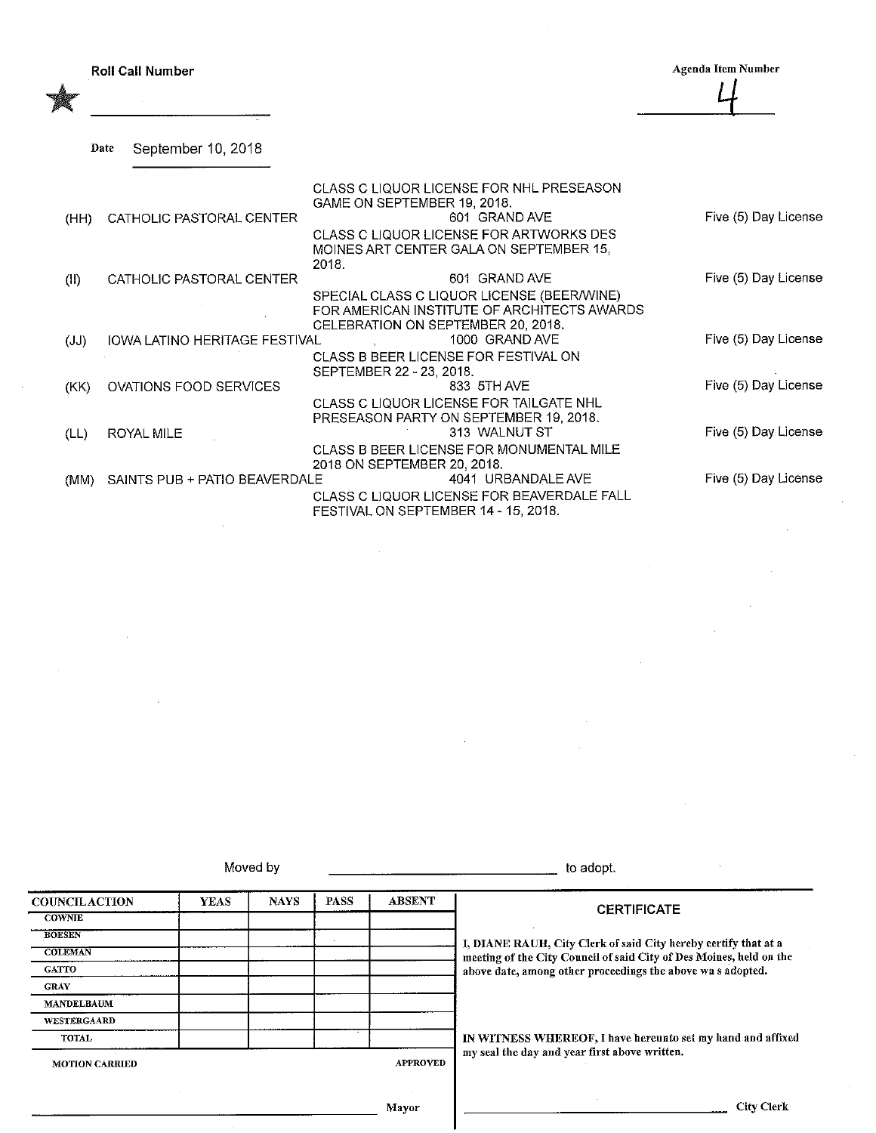| <b>Roll Call Number</b> |  |  |  |
|-------------------------|--|--|--|
|-------------------------|--|--|--|

Agenda Item Number  $\frac{1}{4}$ 

Date September 10, 2018

|      |                               | CLASS C LIQUOR LICENSE FOR NHL PRESEASON<br>GAME ON SEPTEMBER 19, 2018.                   |                      |
|------|-------------------------------|-------------------------------------------------------------------------------------------|----------------------|
| (HH) | CATHOLIC PASTORAL CENTER      | 601 GRAND AVE                                                                             | Five (5) Day License |
|      |                               | CLASS C LIQUOR LICENSE FOR ARTWORKS DES<br>MOINES ART CENTER GALA ON SEPTEMBER 15,        |                      |
|      | CATHOLIC PASTORAL CENTER      | 2018.<br>601 GRAND AVE                                                                    | Five (5) Day License |
| (11) |                               | SPECIAL CLASS C LIQUOR LICENSE (BEER/WINE)<br>FOR AMERICAN INSTITUTE OF ARCHITECTS AWARDS |                      |
|      |                               | CELEBRATION ON SEPTEMBER 20, 2018.                                                        |                      |
| (JJ) | IOWA LATINO HERITAGE FESTIVAL | 1000 GRAND AVE<br>CLASS B BEER LICENSE FOR FESTIVAL ON<br>SEPTEMBER 22 - 23, 2018.        | Five (5) Day License |
| (KK) | <b>OVATIONS FOOD SERVICES</b> | 833 5TH AVE                                                                               | Five (5) Day License |
|      |                               | CLASS C LIQUOR LICENSE FOR TAILGATE NHL<br>PRESEASON PARTY ON SEPTEMBER 19, 2018.         |                      |
| (LL) | <b>ROYAL MILE</b>             | 313 WALNUT ST                                                                             | Five (5) Day License |
|      |                               | CLASS B BEER LICENSE FOR MONUMENTAL MILE<br>2018 ON SEPTEMBER 20, 2018.                   |                      |
| (MM) | SAINTS PUB + PATIO BEAVERDALE | 4041 URBANDALE AVE                                                                        | Five (5) Day License |
|      |                               | CLASS C LIQUOR LICENSE FOR BEAVERDALE FALL<br>FESTIVAL ON SEPTEMBER 14 - 15, 2018.        |                      |

Moved by to adopt.

**COUNCILACTION** COWNIE BOESEN **COLEMAN GATTO** GRAY MANDELBAUM WESTERGAAKD TOTAL YEAS NAYS | PASS | ABSENT MOTION CARRIED APPROVED Mayor **CERTIFICATE** I, DTANE RAUH, City Clerk of said City hereby certify that at a meeting of the City Council of said City of Des Moines, held on the above date, among other proceedings the above wa s adopted. IN WITNESS WHEREOF, I have hereunfo set my hand and affixed my seal the day and year first above written. City Clerk